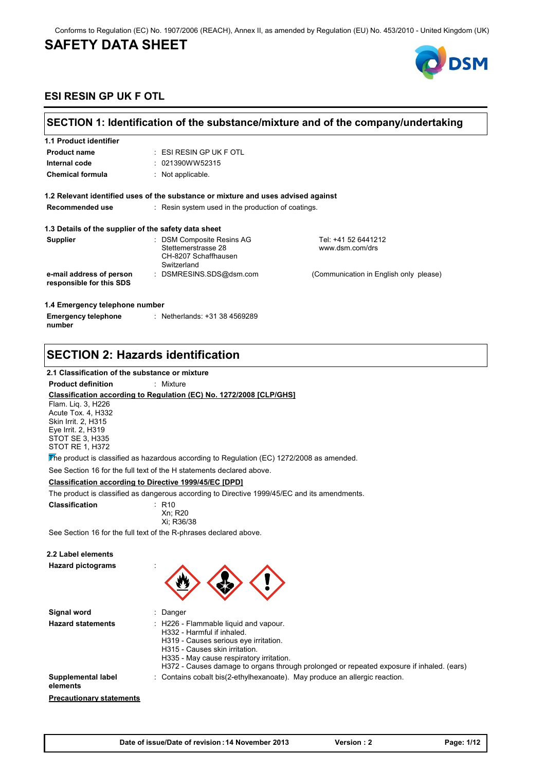#### Conforms to Regulation (EC) No. 1907/2006 (REACH), Annex II, as amended by Regulation (EU) No. 453/2010 - United Kingdom (UK)

## **SAFETY DATA SHEET**



### **ESI RESIN GP UK F OTL**

| SECTION 1: Identification of the substance/mixture and of the company/undertaking |                                                                                         |                                        |
|-----------------------------------------------------------------------------------|-----------------------------------------------------------------------------------------|----------------------------------------|
| 1.1 Product identifier                                                            |                                                                                         |                                        |
| <b>Product name</b>                                                               | $:$ ESI RESIN GP UK F OTL                                                               |                                        |
| Internal code                                                                     | : 021390WW52315                                                                         |                                        |
| <b>Chemical formula</b>                                                           | $:$ Not applicable.                                                                     |                                        |
|                                                                                   | 1.2 Relevant identified uses of the substance or mixture and uses advised against       |                                        |
| Recommended use                                                                   | : Resin system used in the production of coatings.                                      |                                        |
| 1.3 Details of the supplier of the safety data sheet                              |                                                                                         |                                        |
| <b>Supplier</b>                                                                   | : DSM Composite Resins AG<br>Stettemerstrasse 28<br>CH-8207 Schaffhausen<br>Switzerland | Tel: +41 52 6441212<br>www.dsm.com/drs |
| e-mail address of person<br>responsible for this SDS                              | : DSMRESINS SDS@dsm.com                                                                 | (Communication in English only please) |
| 1.4 Emergency telephone number                                                    |                                                                                         |                                        |
| <b>Emergency telephone</b><br>number                                              | : Netherlands: +31 38 4569289                                                           |                                        |

## **SECTION 2: Hazards identification**

#### **2.1 Classification of the substance or mixture**

#### **Product definition** : Mixture

#### **Classification according to Regulation (EC) No. 1272/2008 [CLP/GHS]**

Flam. Liq. 3, H226 Acute Tox. 4, H332 Skin Irrit. 2, H315 Eye Irrit. 2, H319 STOT SE 3, H335 STOT RE 1, H372

The product is classified as hazardous according to Regulation (EC) 1272/2008 as amended.

See Section 16 for the full text of the H statements declared above.

#### **Classification according to Directive 1999/45/EC [DPD]**

The product is classified as dangerous according to Directive 1999/45/EC and its amendments.

| <b>Classification</b> | : R10      |
|-----------------------|------------|
|                       | Xn: R20    |
|                       | Xi: R36/38 |
|                       |            |

See Section 16 for the full text of the R-phrases declared above.

### **2.2 Label elements**

**Hazard pictograms** :



| Signal word                     | Danger                                                                                                                                                                                                                                                                                 |
|---------------------------------|----------------------------------------------------------------------------------------------------------------------------------------------------------------------------------------------------------------------------------------------------------------------------------------|
| <b>Hazard statements</b>        | : H226 - Flammable liquid and vapour.<br>H332 - Harmful if inhaled.<br>H319 - Causes serious eye irritation.<br>H315 - Causes skin irritation.<br>H335 - May cause respiratory irritation.<br>H372 - Causes damage to organs through prolonged or repeated exposure if inhaled. (ears) |
| Supplemental label<br>elements  | : Contains cobalt bis(2-ethylhexanoate). May produce an allergic reaction.                                                                                                                                                                                                             |
| <b>Precautionary statements</b> |                                                                                                                                                                                                                                                                                        |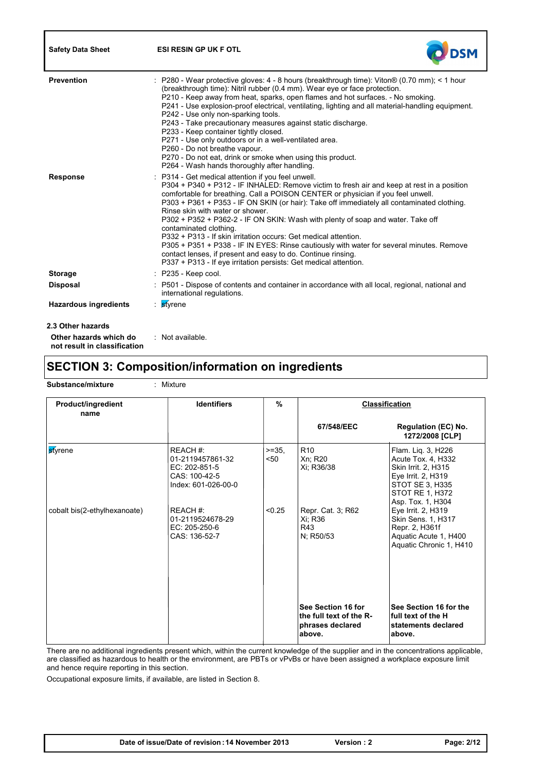| <b>Safety Data Sheet</b>                               | <b>ESI RESIN GP UK F OTL</b>                                                                                                                                                                                                                                                                                                                                                                                                                                                                                                                                                                                                                                                                                                                                                         |
|--------------------------------------------------------|--------------------------------------------------------------------------------------------------------------------------------------------------------------------------------------------------------------------------------------------------------------------------------------------------------------------------------------------------------------------------------------------------------------------------------------------------------------------------------------------------------------------------------------------------------------------------------------------------------------------------------------------------------------------------------------------------------------------------------------------------------------------------------------|
| <b>Prevention</b>                                      | P280 - Wear protective gloves: 4 - 8 hours (breakthrough time): Viton® (0.70 mm); < 1 hour<br>(breakthrough time): Nitril rubber (0.4 mm). Wear eye or face protection.<br>P210 - Keep away from heat, sparks, open flames and hot surfaces. - No smoking.<br>P241 - Use explosion-proof electrical, ventilating, lighting and all material-handling equipment.<br>P242 - Use only non-sparking tools.<br>P243 - Take precautionary measures against static discharge.<br>P233 - Keep container tightly closed.<br>P271 - Use only outdoors or in a well-ventilated area.<br>P260 - Do not breathe vapour.<br>P270 - Do not eat, drink or smoke when using this product.<br>P264 - Wash hands thoroughly after handling.                                                             |
| <b>Response</b>                                        | P314 - Get medical attention if you feel unwell.<br>P304 + P340 + P312 - IF INHALED: Remove victim to fresh air and keep at rest in a position<br>comfortable for breathing. Call a POISON CENTER or physician if you feel unwell.<br>P303 + P361 + P353 - IF ON SKIN (or hair): Take off immediately all contaminated clothing.<br>Rinse skin with water or shower.<br>P302 + P352 + P362-2 - IF ON SKIN: Wash with plenty of soap and water. Take off<br>contaminated clothing.<br>P332 + P313 - If skin irritation occurs: Get medical attention.<br>P305 + P351 + P338 - IF IN EYES: Rinse cautiously with water for several minutes. Remove<br>contact lenses, if present and easy to do. Continue rinsing.<br>P337 + P313 - If eye irritation persists: Get medical attention. |
| <b>Storage</b>                                         | P235 - Keep cool.                                                                                                                                                                                                                                                                                                                                                                                                                                                                                                                                                                                                                                                                                                                                                                    |
| <b>Disposal</b>                                        | : P501 - Dispose of contents and container in accordance with all local, regional, national and<br>international regulations.                                                                                                                                                                                                                                                                                                                                                                                                                                                                                                                                                                                                                                                        |
| <b>Hazardous ingredients</b>                           | styrene<br>÷                                                                                                                                                                                                                                                                                                                                                                                                                                                                                                                                                                                                                                                                                                                                                                         |
| 2.3 Other hazards                                      |                                                                                                                                                                                                                                                                                                                                                                                                                                                                                                                                                                                                                                                                                                                                                                                      |
| Other hazards which do<br>not result in classification | : Not available.                                                                                                                                                                                                                                                                                                                                                                                                                                                                                                                                                                                                                                                                                                                                                                     |

## **SECTION 3: Composition/information on ingredients**

**Substance/mixture : Mixture** 

**Identifiers 67/548/EEC Product/ingredient name 1** *We have name We have name We have not all the manufold with*  $\frac{1}{2}$  *we have not all the manufold with*  $\frac{1}{2}$  *we have not all the manufold with*  $\frac{1}{2}$  *we have not all the ma* **Regulation (EC) No. 1272/2008 [CLP] Classification See Section 16 for the full text of the Rphrases declared above. See Section 16 for the full text of the H statements declared above.** styrene REACH #: 01-2119457861-32 EC: 202-851-5 CAS: 100-42-5 Index: 601-026-00-0  $>=35$ , R10 <50 R10 Xn; R20 Xi; R36/38 Flam. Liq. 3, H226 Acute Tox. 4, H332 Skin Irrit. 2, H315 Eye Irrit. 2, H319 STOT SE 3, H335 STOT RE 1, H372 Asp. Tox. 1, H304 cobalt bis(2-ethylhexanoate) REACH #: 01-2119524678-29 EC: 205-250-6 CAS: 136-52-7 <0.25 Repr. Cat. 3; R62 Xi; R36 R43 N; R50/53 Eye Irrit. 2, H319 Skin Sens. 1, H317 Repr. 2, H361f Aquatic Acute 1, H400 Aquatic Chronic 1, H410

There are no additional ingredients present which, within the current knowledge of the supplier and in the concentrations applicable, are classified as hazardous to health or the environment, are PBTs or vPvBs or have been assigned a workplace exposure limit and hence require reporting in this section.

Occupational exposure limits, if available, are listed in Section 8.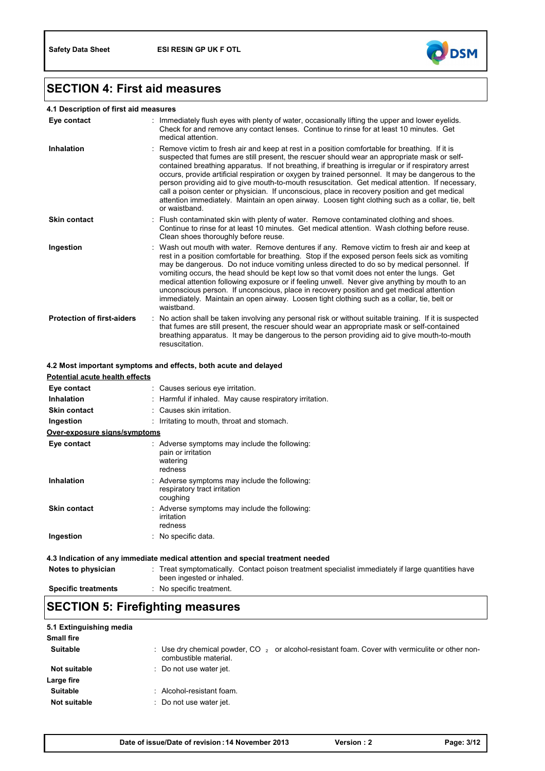

# **SECTION 4: First aid measures**

### **4.1 Description of first aid measures**

| Eye contact                       | Immediately flush eyes with plenty of water, occasionally lifting the upper and lower eyelids.<br>Check for and remove any contact lenses. Continue to rinse for at least 10 minutes. Get<br>medical attention.                                                                                                                                                                                                                                                                                                                                                                                                                                                                                                                      |
|-----------------------------------|--------------------------------------------------------------------------------------------------------------------------------------------------------------------------------------------------------------------------------------------------------------------------------------------------------------------------------------------------------------------------------------------------------------------------------------------------------------------------------------------------------------------------------------------------------------------------------------------------------------------------------------------------------------------------------------------------------------------------------------|
| <b>Inhalation</b>                 | : Remove victim to fresh air and keep at rest in a position comfortable for breathing. If it is<br>suspected that fumes are still present, the rescuer should wear an appropriate mask or self-<br>contained breathing apparatus. If not breathing, if breathing is irregular or if respiratory arrest<br>occurs, provide artificial respiration or oxygen by trained personnel. It may be dangerous to the<br>person providing aid to give mouth-to-mouth resuscitation. Get medical attention. If necessary,<br>call a poison center or physician. If unconscious, place in recovery position and get medical<br>attention immediately. Maintain an open airway. Loosen tight clothing such as a collar, tie, belt<br>or waistband |
| <b>Skin contact</b>               | : Flush contaminated skin with plenty of water. Remove contaminated clothing and shoes.<br>Continue to rinse for at least 10 minutes. Get medical attention. Wash clothing before reuse.<br>Clean shoes thoroughly before reuse.                                                                                                                                                                                                                                                                                                                                                                                                                                                                                                     |
| Ingestion                         | : Wash out mouth with water. Remove dentures if any. Remove victim to fresh air and keep at<br>rest in a position comfortable for breathing. Stop if the exposed person feels sick as vomiting<br>may be dangerous. Do not induce vomiting unless directed to do so by medical personnel. If<br>vomiting occurs, the head should be kept low so that vomit does not enter the lungs. Get<br>medical attention following exposure or if feeling unwell. Never give anything by mouth to an<br>unconscious person. If unconscious, place in recovery position and get medical attention<br>immediately. Maintain an open airway. Loosen tight clothing such as a collar, tie, belt or<br>waistband.                                    |
| <b>Protection of first-aiders</b> | No action shall be taken involving any personal risk or without suitable training. If it is suspected<br>that fumes are still present, the rescuer should wear an appropriate mask or self-contained<br>breathing apparatus. It may be dangerous to the person providing aid to give mouth-to-mouth<br>resuscitation.                                                                                                                                                                                                                                                                                                                                                                                                                |

### **4.2 Most important symptoms and effects, both acute and delayed**

| Potential acute health effects                                                 |                                                                                                                                |  |
|--------------------------------------------------------------------------------|--------------------------------------------------------------------------------------------------------------------------------|--|
| Eye contact                                                                    | : Causes serious eye irritation.                                                                                               |  |
| <b>Inhalation</b>                                                              | : Harmful if inhaled. May cause respiratory irritation.                                                                        |  |
| <b>Skin contact</b>                                                            | : Causes skin irritation.                                                                                                      |  |
| Ingestion                                                                      | : Irritating to mouth, throat and stomach.                                                                                     |  |
| Over-exposure signs/symptoms                                                   |                                                                                                                                |  |
| Eye contact                                                                    | : Adverse symptoms may include the following:<br>pain or irritation<br>watering<br>redness                                     |  |
| Inhalation                                                                     | : Adverse symptoms may include the following:<br>respiratory tract irritation<br>coughing                                      |  |
| <b>Skin contact</b>                                                            | : Adverse symptoms may include the following:<br>irritation<br>redness                                                         |  |
| Ingestion                                                                      | : No specific data.                                                                                                            |  |
| 4.3 Indication of any immediate medical attention and special treatment needed |                                                                                                                                |  |
| Notes to physician                                                             | : Treat symptomatically. Contact poison treatment specialist immediately if large quantities have<br>been ingested or inhaled. |  |
| <b>Specific treatments</b>                                                     | : No specific treatment.                                                                                                       |  |

# **SECTION 5: Firefighting measures**

| 5.1 Extinguishing media |                                                                                                                              |
|-------------------------|------------------------------------------------------------------------------------------------------------------------------|
| <b>Small fire</b>       |                                                                                                                              |
| <b>Suitable</b>         | : Use dry chemical powder, $CO_{2}$ or alcohol-resistant foam. Cover with vermiculite or other non-<br>combustible material. |
| <b>Not suitable</b>     | : Do not use water jet.                                                                                                      |
| Large fire              |                                                                                                                              |
| <b>Suitable</b>         | : Alcohol-resistant foam.                                                                                                    |
| Not suitable            | : Do not use water jet.                                                                                                      |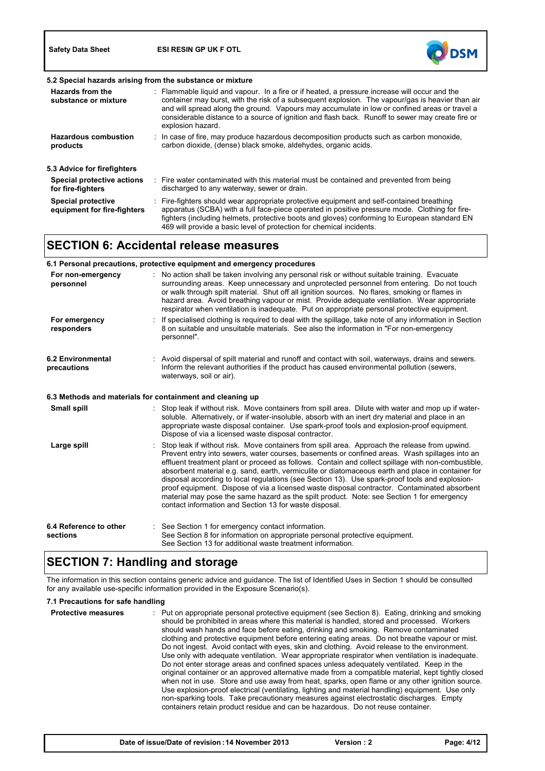**Safety Data Sheet ESI RESIN GP UK F OTL**



| 5.2 Special hazards arising from the substance or mixture |  |                                                                                                                                                                                                                                                                                                                                                                                                                             |
|-----------------------------------------------------------|--|-----------------------------------------------------------------------------------------------------------------------------------------------------------------------------------------------------------------------------------------------------------------------------------------------------------------------------------------------------------------------------------------------------------------------------|
| Hazards from the<br>substance or mixture                  |  | : Flammable liquid and vapour. In a fire or if heated, a pressure increase will occur and the<br>container may burst, with the risk of a subsequent explosion. The vapour/gas is heavier than air<br>and will spread along the ground. Vapours may accumulate in low or confined areas or travel a<br>considerable distance to a source of ignition and flash back. Runoff to sewer may create fire or<br>explosion hazard. |
| <b>Hazardous combustion</b><br>products                   |  | $\therefore$ In case of fire, may produce hazardous decomposition products such as carbon monoxide,<br>carbon dioxide, (dense) black smoke, aldehydes, organic acids.                                                                                                                                                                                                                                                       |
| 5.3 Advice for firefighters                               |  |                                                                                                                                                                                                                                                                                                                                                                                                                             |
| Special protective actions<br>for fire-fighters           |  | : Fire water contaminated with this material must be contained and prevented from being<br>discharged to any waterway, sewer or drain.                                                                                                                                                                                                                                                                                      |
| <b>Special protective</b><br>equipment for fire-fighters  |  | : Fire-fighters should wear appropriate protective equipment and self-contained breathing<br>apparatus (SCBA) with a full face-piece operated in positive pressure mode. Clothing for fire-<br>fighters (including helmets, protective boots and gloves) conforming to European standard EN<br>469 will provide a basic level of protection for chemical incidents.                                                         |

## **SECTION 6: Accidental release measures**

|                                         | 6.1 Personal precautions, protective equipment and emergency procedures                                                                                                                                                                                                                                                                                                                                                                                                                                                                                                                                                                                                                                                                                            |
|-----------------------------------------|--------------------------------------------------------------------------------------------------------------------------------------------------------------------------------------------------------------------------------------------------------------------------------------------------------------------------------------------------------------------------------------------------------------------------------------------------------------------------------------------------------------------------------------------------------------------------------------------------------------------------------------------------------------------------------------------------------------------------------------------------------------------|
| For non-emergency<br>personnel          | No action shall be taken involving any personal risk or without suitable training. Evacuate<br>surrounding areas. Keep unnecessary and unprotected personnel from entering. Do not touch<br>or walk through spilt material. Shut off all ignition sources. No flares, smoking or flames in<br>hazard area. Avoid breathing vapour or mist. Provide adequate ventilation. Wear appropriate<br>respirator when ventilation is inadequate. Put on appropriate personal protective equipment.                                                                                                                                                                                                                                                                          |
| For emergency<br>responders             | If specialised clothing is required to deal with the spillage, take note of any information in Section<br>8 on suitable and unsuitable materials. See also the information in "For non-emergency"<br>personnel".                                                                                                                                                                                                                                                                                                                                                                                                                                                                                                                                                   |
| <b>6.2 Environmental</b><br>precautions | : Avoid dispersal of spilt material and runoff and contact with soil, waterways, drains and sewers.<br>Inform the relevant authorities if the product has caused environmental pollution (sewers,<br>waterways, soil or air).                                                                                                                                                                                                                                                                                                                                                                                                                                                                                                                                      |
|                                         | 6.3 Methods and materials for containment and cleaning up                                                                                                                                                                                                                                                                                                                                                                                                                                                                                                                                                                                                                                                                                                          |
| Small spill                             | : Stop leak if without risk. Move containers from spill area. Dilute with water and mop up if water-<br>soluble. Alternatively, or if water-insoluble, absorb with an inert dry material and place in an<br>appropriate waste disposal container. Use spark-proof tools and explosion-proof equipment.<br>Dispose of via a licensed waste disposal contractor.                                                                                                                                                                                                                                                                                                                                                                                                     |
| Large spill                             | Stop leak if without risk. Move containers from spill area. Approach the release from upwind.<br>Prevent entry into sewers, water courses, basements or confined areas. Wash spillages into an<br>effluent treatment plant or proceed as follows. Contain and collect spillage with non-combustible.<br>absorbent material e.g. sand, earth, vermiculite or diatomaceous earth and place in container for<br>disposal according to local regulations (see Section 13). Use spark-proof tools and explosion-<br>proof equipment. Dispose of via a licensed waste disposal contractor. Contaminated absorbent<br>material may pose the same hazard as the spilt product. Note: see Section 1 for emergency<br>contact information and Section 13 for waste disposal. |
| 6.4 Reference to other<br>sections      | : See Section 1 for emergency contact information.<br>See Section 8 for information on appropriate personal protective equipment.<br>See Section 13 for additional waste treatment information.                                                                                                                                                                                                                                                                                                                                                                                                                                                                                                                                                                    |

# **SECTION 7: Handling and storage**

The information in this section contains generic advice and guidance. The list of Identified Uses in Section 1 should be consulted for any available use-specific information provided in the Exposure Scenario(s).

#### **7.1 Precautions for safe handling**

| <b>Protective measures</b> | Put on appropriate personal protective equipment (see Section 8). Eating, drinking and smoking<br>should be prohibited in areas where this material is handled, stored and processed. Workers<br>should wash hands and face before eating, drinking and smoking. Remove contaminated<br>clothing and protective equipment before entering eating areas. Do not breathe vapour or mist.<br>Do not ingest. Avoid contact with eyes, skin and clothing. Avoid release to the environment.<br>Use only with adequate ventilation. Wear appropriate respirator when ventilation is inadequate.<br>Do not enter storage areas and confined spaces unless adequately ventilated. Keep in the<br>original container or an approved alternative made from a compatible material, kept tightly closed<br>when not in use. Store and use away from heat, sparks, open flame or any other ignition source.<br>Use explosion-proof electrical (ventilating, lighting and material handling) equipment. Use only<br>non-sparking tools. Take precautionary measures against electrostatic discharges. Empty<br>containers retain product residue and can be hazardous. Do not reuse container. |
|----------------------------|----------------------------------------------------------------------------------------------------------------------------------------------------------------------------------------------------------------------------------------------------------------------------------------------------------------------------------------------------------------------------------------------------------------------------------------------------------------------------------------------------------------------------------------------------------------------------------------------------------------------------------------------------------------------------------------------------------------------------------------------------------------------------------------------------------------------------------------------------------------------------------------------------------------------------------------------------------------------------------------------------------------------------------------------------------------------------------------------------------------------------------------------------------------------------------|
|                            |                                                                                                                                                                                                                                                                                                                                                                                                                                                                                                                                                                                                                                                                                                                                                                                                                                                                                                                                                                                                                                                                                                                                                                                  |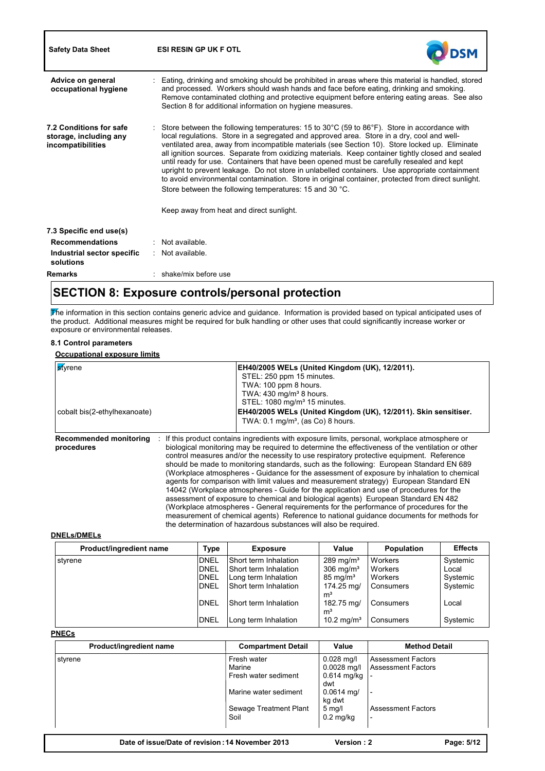| <b>Safety Data Sheet</b>                                               | <b>ESI RESIN GP UK F OTL</b>                                                                                                                                                                                                                                                                                                                                                                                                                                                                                                                                                                                                                                                                                                                                                                                                         |
|------------------------------------------------------------------------|--------------------------------------------------------------------------------------------------------------------------------------------------------------------------------------------------------------------------------------------------------------------------------------------------------------------------------------------------------------------------------------------------------------------------------------------------------------------------------------------------------------------------------------------------------------------------------------------------------------------------------------------------------------------------------------------------------------------------------------------------------------------------------------------------------------------------------------|
| Advice on general<br>occupational hygiene                              | : Eating, drinking and smoking should be prohibited in areas where this material is handled, stored<br>and processed. Workers should wash hands and face before eating, drinking and smoking.<br>Remove contaminated clothing and protective equipment before entering eating areas. See also<br>Section 8 for additional information on hygiene measures.                                                                                                                                                                                                                                                                                                                                                                                                                                                                           |
| 7.2 Conditions for safe<br>storage, including any<br>incompatibilities | : Store between the following temperatures: 15 to 30 $^{\circ}$ C (59 to 86 $^{\circ}$ F). Store in accordance with<br>local regulations. Store in a segregated and approved area. Store in a dry, cool and well-<br>ventilated area, away from incompatible materials (see Section 10). Store locked up. Eliminate<br>all ignition sources. Separate from oxidizing materials. Keep container tightly closed and sealed<br>until ready for use. Containers that have been opened must be carefully resealed and kept<br>upright to prevent leakage. Do not store in unlabelled containers. Use appropriate containment<br>to avoid environmental contamination. Store in original container, protected from direct sunlight.<br>Store between the following temperatures: 15 and 30 °C.<br>Keep away from heat and direct sunlight. |
| 7.3 Specific end use(s)                                                |                                                                                                                                                                                                                                                                                                                                                                                                                                                                                                                                                                                                                                                                                                                                                                                                                                      |
| <b>Recommendations</b>                                                 | : Not available.                                                                                                                                                                                                                                                                                                                                                                                                                                                                                                                                                                                                                                                                                                                                                                                                                     |
| Industrial sector specific<br>solutions                                | : Not available.                                                                                                                                                                                                                                                                                                                                                                                                                                                                                                                                                                                                                                                                                                                                                                                                                     |
| <b>Remarks</b>                                                         | $:$ shake/mix before use                                                                                                                                                                                                                                                                                                                                                                                                                                                                                                                                                                                                                                                                                                                                                                                                             |

# **SECTION 8: Exposure controls/personal protection**

The information in this section contains generic advice and guidance. Information is provided based on typical anticipated uses of the product. Additional measures might be required for bulk handling or other uses that could significantly increase worker or exposure or environmental releases.

#### **8.1 Control parameters**

Ī

#### **Occupational exposure limits**

| <b>styrene</b><br>cobalt bis(2-ethylhexanoate) | EH40/2005 WELs (United Kingdom (UK), 12/2011).<br>STEL: 250 ppm 15 minutes.<br>TWA: 100 ppm 8 hours.<br>TWA: $430 \text{ mg/m}^3$ 8 hours.<br>STEL: 1080 mg/m <sup>3</sup> 15 minutes.<br>EH40/2005 WELs (United Kingdom (UK), 12/2011). Skin sensitiser.<br>TWA: $0.1 \text{ mg/m}^3$ , (as Co) 8 hours.                                                                                                                                                                                                                                                                                                                                                                                                                                                                                                                                                                                                                                                                                                                  |  |
|------------------------------------------------|----------------------------------------------------------------------------------------------------------------------------------------------------------------------------------------------------------------------------------------------------------------------------------------------------------------------------------------------------------------------------------------------------------------------------------------------------------------------------------------------------------------------------------------------------------------------------------------------------------------------------------------------------------------------------------------------------------------------------------------------------------------------------------------------------------------------------------------------------------------------------------------------------------------------------------------------------------------------------------------------------------------------------|--|
| <b>Recommended monitoring</b><br>procedures    | If this product contains ingredients with exposure limits, personal, workplace atmosphere or<br>biological monitoring may be required to determine the effectiveness of the ventilation or other<br>control measures and/or the necessity to use respiratory protective equipment. Reference<br>should be made to monitoring standards, such as the following: European Standard EN 689<br>(Workplace atmospheres - Guidance for the assessment of exposure by inhalation to chemical<br>agents for comparison with limit values and measurement strategy) European Standard EN<br>14042 (Workplace atmospheres - Guide for the application and use of procedures for the<br>assessment of exposure to chemical and biological agents) European Standard EN 482<br>(Workplace atmospheres - General requirements for the performance of procedures for the<br>measurement of chemical agents) Reference to national guidance documents for methods for<br>the determination of hazardous substances will also be required. |  |

### **DNELs/DMELs**

| Product/ingredient name | Type                                      | <b>Exposure</b>                                                               | Value                                                                  | Population                    | <b>Effects</b>                |
|-------------------------|-------------------------------------------|-------------------------------------------------------------------------------|------------------------------------------------------------------------|-------------------------------|-------------------------------|
| styrene                 | <b>DNEL</b><br><b>DNEL</b><br><b>DNEL</b> | <b>Short term Inhalation</b><br>Short term Inhalation<br>Long term Inhalation | $289$ mg/m <sup>3</sup><br>$306 \text{ mg/m}^3$<br>$85 \text{ mg/m}^3$ | Workers<br>Workers<br>Workers | Systemic<br>Local<br>Systemic |
|                         | <b>DNEL</b>                               | Short term Inhalation                                                         | 174.25 mg/<br>m <sup>3</sup>                                           | Consumers                     | Systemic                      |
|                         | <b>DNEL</b>                               | Short term Inhalation                                                         | 182.75 mg/<br>m <sup>3</sup>                                           | Consumers                     | Local                         |
|                         | <b>DNEL</b>                               | Long term Inhalation                                                          | 10.2 mg/m <sup>3</sup>                                                 | Consumers                     | Systemic                      |

### **PNECs**

| Product/ingredient name | <b>Compartment Detail</b> | Value                   | <b>Method Detail</b>      |
|-------------------------|---------------------------|-------------------------|---------------------------|
| styrene                 | Fresh water               | $0.028$ mg/l            | <b>Assessment Factors</b> |
|                         | Marine                    | $0.0028$ mg/l           | <b>Assessment Factors</b> |
|                         | Fresh water sediment      | $0.614$ mg/kg $\vert$ - |                           |
|                         |                           | dwt                     |                           |
|                         | Marine water sediment     | $0.0614$ mg/            |                           |
|                         |                           | kg dwt                  |                           |
|                         | Sewage Treatment Plant    | $5 \text{ mq/l}$        | <b>Assessment Factors</b> |
|                         | Soil                      | $0.2$ mg/kg             |                           |
|                         |                           |                         |                           |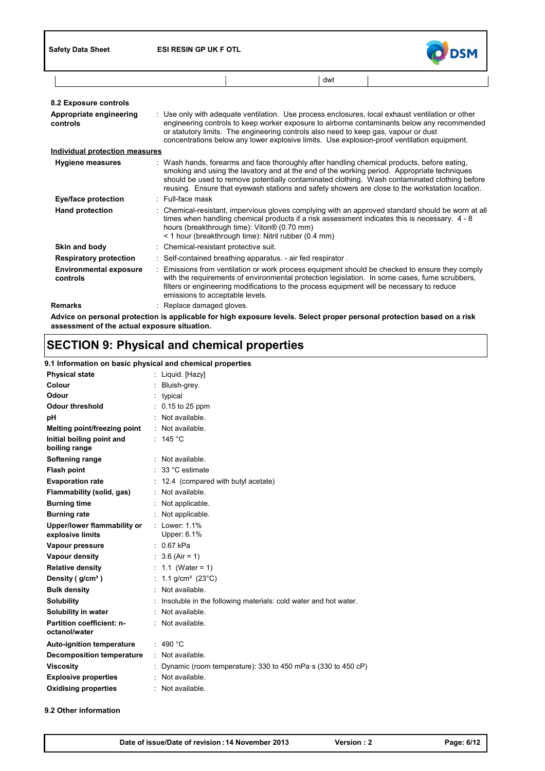

| dwt |  |  |
|-----|--|--|
|     |  |  |

| 8.2 Exposure controls                     |                                                                                                                                                                                                                                                                                                                                                                                                |
|-------------------------------------------|------------------------------------------------------------------------------------------------------------------------------------------------------------------------------------------------------------------------------------------------------------------------------------------------------------------------------------------------------------------------------------------------|
| Appropriate engineering<br>controls       | : Use only with adequate ventilation. Use process enclosures, local exhaust ventilation or other<br>engineering controls to keep worker exposure to airborne contaminants below any recommended<br>or statutory limits. The engineering controls also need to keep gas, vapour or dust<br>concentrations below any lower explosive limits. Use explosion-proof ventilation equipment.          |
| <b>Individual protection measures</b>     |                                                                                                                                                                                                                                                                                                                                                                                                |
| <b>Hygiene measures</b>                   | : Wash hands, forearms and face thoroughly after handling chemical products, before eating,<br>smoking and using the lavatory and at the end of the working period. Appropriate techniques<br>should be used to remove potentially contaminated clothing. Wash contaminated clothing before<br>reusing. Ensure that eyewash stations and safety showers are close to the workstation location. |
| Eye/face protection                       | : Full-face mask                                                                                                                                                                                                                                                                                                                                                                               |
| <b>Hand protection</b>                    | : Chemical-resistant, impervious gloves complying with an approved standard should be worn at all<br>times when handling chemical products if a risk assessment indicates this is necessary. 4 - 8<br>hours (breakthrough time): Viton® (0.70 mm)<br>< 1 hour (breakthrough time): Nitril rubber (0.4 mm)                                                                                      |
| Skin and body                             | : Chemical-resistant protective suit.                                                                                                                                                                                                                                                                                                                                                          |
| <b>Respiratory protection</b>             | : Self-contained breathing apparatus. - air fed respirator.                                                                                                                                                                                                                                                                                                                                    |
| <b>Environmental exposure</b><br>controls | : Emissions from ventilation or work process equipment should be checked to ensure they comply<br>with the requirements of environmental protection legislation. In some cases, fume scrubbers,<br>filters or engineering modifications to the process equipment will be necessary to reduce<br>emissions to acceptable levels.                                                                |
| <b>Remarks</b>                            | : Replace damaged gloves.                                                                                                                                                                                                                                                                                                                                                                      |
|                                           | Advice on personal protection is applicable for high exposure levels. Select proper personal protection based on a risk                                                                                                                                                                                                                                                                        |

**assessment of the actual exposure situation.**

# **SECTION 9: Physical and chemical properties**

### **9.1 Information on basic physical and chemical properties**

| <b>Physical state</b>                           | : Liquid. [Hazy]                                                |
|-------------------------------------------------|-----------------------------------------------------------------|
| Colour                                          | Bluish-grey.                                                    |
| Odour                                           | typical                                                         |
| Odour threshold                                 | : 0.15 to 25 ppm                                                |
| pН                                              | : Not available.                                                |
| Melting point/freezing point                    | : Not available.                                                |
| Initial boiling point and<br>boiling range      | : 145 $^{\circ}$ C                                              |
| Softening range                                 | $:$ Not available.                                              |
| <b>Flash point</b>                              | $\therefore$ 33 °C estimate                                     |
| <b>Evaporation rate</b>                         | : 12.4 (compared with butyl acetate)                            |
| Flammability (solid, gas)                       | : Not available.                                                |
| <b>Burning time</b>                             | : Not applicable.                                               |
| <b>Burning rate</b>                             | : Not applicable.                                               |
| Upper/lower flammability or<br>explosive limits | : Lower: $1.1\%$<br>Upper: 6.1%                                 |
| Vapour pressure                                 | $: 0.67$ kPa                                                    |
| Vapour density                                  | : $3.6$ (Air = 1)                                               |
| <b>Relative density</b>                         | : 1.1 (Water = 1)                                               |
| Density ( g/cmª )                               | : $1.1$ g/cm <sup>3</sup> (23°C)                                |
| <b>Bulk density</b>                             | : Not available.                                                |
| <b>Solubility</b>                               | Insoluble in the following materials: cold water and hot water. |
| Solubility in water                             | $:$ Not available.                                              |
| Partition coefficient: n-<br>octanol/water      | Not available.                                                  |
| <b>Auto-ignition temperature</b>                | : 490 °C                                                        |
| <b>Decomposition temperature</b>                | $\therefore$ Not available.                                     |
| <b>Viscosity</b>                                | Dynamic (room temperature): 330 to 450 mPa s (330 to 450 cP)    |
| <b>Explosive properties</b>                     | : Not available.                                                |
| <b>Oxidising properties</b>                     | Not available.                                                  |
|                                                 |                                                                 |

**9.2 Other information**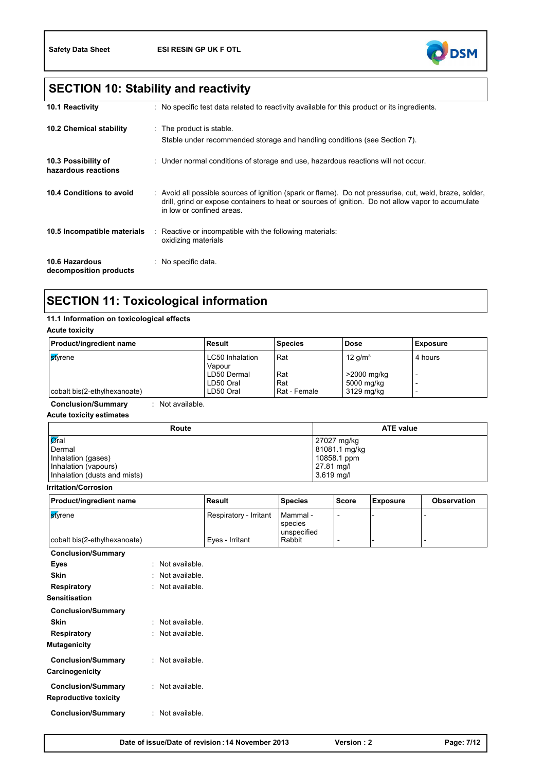

# **SECTION 10: Stability and reactivity**

| <b>10.1 Reactivity</b>                     | : No specific test data related to reactivity available for this product or its ingredients.                                                                                                                                               |
|--------------------------------------------|--------------------------------------------------------------------------------------------------------------------------------------------------------------------------------------------------------------------------------------------|
| <b>10.2 Chemical stability</b>             | : The product is stable.<br>Stable under recommended storage and handling conditions (see Section 7).                                                                                                                                      |
| 10.3 Possibility of<br>hazardous reactions | : Under normal conditions of storage and use, hazardous reactions will not occur.                                                                                                                                                          |
| 10.4 Conditions to avoid                   | : Avoid all possible sources of ignition (spark or flame). Do not pressurise, cut, weld, braze, solder,<br>drill, grind or expose containers to heat or sources of ignition. Do not allow vapor to accumulate<br>in low or confined areas. |
| 10.5 Incompatible materials                | Reactive or incompatible with the following materials:<br>oxidizing materials                                                                                                                                                              |
| 10.6 Hazardous<br>decomposition products   | : No specific data.                                                                                                                                                                                                                        |

# **SECTION 11: Toxicological information**

### **11.1 Information on toxicological effects**

**Acute toxicity**

| <b>Product/ingredient name</b> | Result                           | <b>Species</b> | <b>Dose</b> | <b>Exposure</b> |
|--------------------------------|----------------------------------|----------------|-------------|-----------------|
| <b>s</b> tvrene                | <b>LC50</b> Inhalation<br>Vapour | Rat            | 12 $q/m^3$  | 4 hours         |
|                                | LD50 Dermal                      | Rat            | >2000 mg/kg |                 |
|                                | LD50 Oral                        | Rat            | 5000 mg/kg  |                 |
| cobalt bis(2-ethylhexanoate)   | LD50 Oral                        | ⊩Rat - Female  | 3129 mg/kg  |                 |

**Conclusion/Summary** : Not available.

**Acute toxicity estimates**

| Route                        | <b>ATE value</b> |  |  |  |
|------------------------------|------------------|--|--|--|
| $\sqrt{a}$ ral               | 27027 mg/kg      |  |  |  |
| Dermal                       | 81081.1 mg/kg    |  |  |  |
| Inhalation (gases)           | 10858.1 ppm      |  |  |  |
| Inhalation (vapours)         | 27.81 mg/l       |  |  |  |
| Inhalation (dusts and mists) | 3.619 mg/l       |  |  |  |

**Irritation/Corrosion**

| <b>Product/ingredient name</b> | Result                 | <b>Species</b>                     | <b>Score</b> | Exposure | <b>Observation</b> |
|--------------------------------|------------------------|------------------------------------|--------------|----------|--------------------|
| <b>st</b> vrene                | Respiratory - Irritant | Mammal -<br>species<br>unspecified |              |          |                    |
| cobalt bis(2-ethylhexanoate)   | Eves - Irritant        | Rabbit                             |              |          |                    |

**Conclusion/Summary**

| Eyes                      | : Not available.   |
|---------------------------|--------------------|
| Skin                      | Not available.     |
| Respiratory               | · Not available    |
| Sensitisation             |                    |
| <b>Conclusion/Summary</b> |                    |
| Skin                      | · Not available    |
| <b>Respiratory</b>        | Not available.     |
| Mutagenicity              |                    |
| <b>Conclusion/Summary</b> | $:$ Not available. |
| Carcinogenicity           |                    |
| <b>Conclusion/Summary</b> | $:$ Not available. |
| Reproductive toxicity     |                    |
|                           |                    |
| <b>Conclusion/Summary</b> | : Not available.   |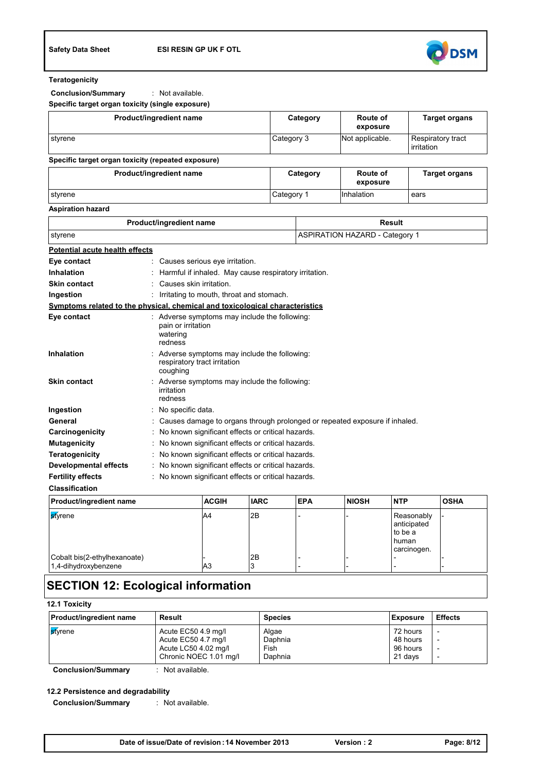

#### **Teratogenicity**

**Conclusion/Summary** : Not available.

**Specific target organ toxicity (single exposure)**

| Product/ingredient name                            | Category   | Route of<br>exposure | <b>Target organs</b>            |
|----------------------------------------------------|------------|----------------------|---------------------------------|
| styrene                                            | Category 3 | Not applicable.      | Respiratory tract<br>irritation |
| Specific target organ toxicity (repeated exposure) |            |                      |                                 |
| Product/ingredient name                            | Category   | Route of<br>exposure | <b>Target organs</b>            |
| styrene                                            | Category 1 | Inhalation           | ears                            |

#### **Aspiration hazard**

| Product/ingredient name                                                           |                       |                                                                               | <b>Result</b>                         |            |              |                                                              |             |
|-----------------------------------------------------------------------------------|-----------------------|-------------------------------------------------------------------------------|---------------------------------------|------------|--------------|--------------------------------------------------------------|-------------|
| styrene                                                                           |                       |                                                                               | <b>ASPIRATION HAZARD - Category 1</b> |            |              |                                                              |             |
| <b>Potential acute health effects</b>                                             |                       |                                                                               |                                       |            |              |                                                              |             |
| Eye contact                                                                       |                       | Causes serious eye irritation.                                                |                                       |            |              |                                                              |             |
| Inhalation                                                                        |                       | Harmful if inhaled. May cause respiratory irritation.                         |                                       |            |              |                                                              |             |
| <b>Skin contact</b>                                                               |                       | Causes skin irritation.                                                       |                                       |            |              |                                                              |             |
| Ingestion                                                                         |                       | Irritating to mouth, throat and stomach.                                      |                                       |            |              |                                                              |             |
| Symptoms related to the physical, chemical and toxicological characteristics      |                       |                                                                               |                                       |            |              |                                                              |             |
| Eye contact                                                                       | watering<br>redness   | Adverse symptoms may include the following:<br>pain or irritation             |                                       |            |              |                                                              |             |
| <b>Inhalation</b>                                                                 | coughing              | : Adverse symptoms may include the following:<br>respiratory tract irritation |                                       |            |              |                                                              |             |
| <b>Skin contact</b>                                                               | irritation<br>redness | : Adverse symptoms may include the following:                                 |                                       |            |              |                                                              |             |
| Ingestion                                                                         |                       | : No specific data.                                                           |                                       |            |              |                                                              |             |
| General                                                                           |                       | Causes damage to organs through prolonged or repeated exposure if inhaled.    |                                       |            |              |                                                              |             |
| Carcinogenicity                                                                   |                       | No known significant effects or critical hazards.                             |                                       |            |              |                                                              |             |
| <b>Mutagenicity</b>                                                               |                       | No known significant effects or critical hazards.                             |                                       |            |              |                                                              |             |
| <b>Teratogenicity</b>                                                             |                       | No known significant effects or critical hazards.                             |                                       |            |              |                                                              |             |
| No known significant effects or critical hazards.<br><b>Developmental effects</b> |                       |                                                                               |                                       |            |              |                                                              |             |
| <b>Fertility effects</b><br>No known significant effects or critical hazards.     |                       |                                                                               |                                       |            |              |                                                              |             |
| <b>Classification</b>                                                             |                       |                                                                               |                                       |            |              |                                                              |             |
| Product/ingredient name                                                           |                       | <b>ACGIH</b>                                                                  | <b>IARC</b>                           | <b>EPA</b> | <b>NIOSH</b> | <b>NTP</b>                                                   | <b>OSHA</b> |
| stvrene                                                                           |                       | A4                                                                            | 2B                                    |            |              | Reasonably<br>anticipated<br>to be a<br>human<br>carcinogen. |             |
| Cobalt bis(2-ethylhexanoate)<br>1,4-dihydroxybenzene                              |                       | A <sub>3</sub>                                                                | 2B<br>3                               |            |              |                                                              |             |

### **SECTION 12: Ecological information**

| <b>12.1 Toxicity</b>           |                                                                                              |                                     |                                             |                                                                                                              |  |  |
|--------------------------------|----------------------------------------------------------------------------------------------|-------------------------------------|---------------------------------------------|--------------------------------------------------------------------------------------------------------------|--|--|
| <b>Product/ingredient name</b> | Result                                                                                       | <b>Species</b>                      | Exposure                                    | <b>Effects</b>                                                                                               |  |  |
| <b>s</b> tvrene                | Acute EC50 4.9 mg/l<br>Acute EC50 4.7 mg/l<br>Acute LC50 4.02 mg/l<br>Chronic NOEC 1.01 mg/l | Algae<br>Daphnia<br>Fish<br>Daphnia | 72 hours<br>48 hours<br>96 hours<br>21 days | $\overline{\phantom{a}}$<br>$\overline{\phantom{a}}$<br>$\overline{\phantom{a}}$<br>$\overline{\phantom{a}}$ |  |  |

**Conclusion/Summary** : Not available.

#### **12.2 Persistence and degradability**

**Conclusion/Summary** : Not available.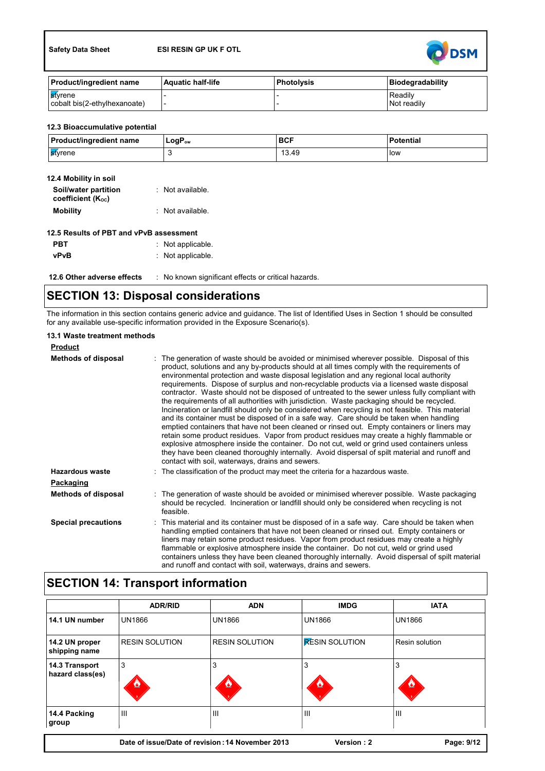

| <b>Product/ingredient name</b> | <b>Aquatic half-life</b> | l Photolvsis | Biodegradability |
|--------------------------------|--------------------------|--------------|------------------|
| <b>S</b> tvrene                |                          |              | <b>Readily</b>   |
| cobalt bis(2-ethylhexanoate)   |                          |              | Not readily      |

### **12.3 Bioaccumulative potential**

| <b>Product/ingredient name</b> | $LogP_{ow}$ | <b>BCF</b> | <b>Potential</b> |
|--------------------------------|-------------|------------|------------------|
| l <mark>s</mark> tyrene        |             | 13.49      | low              |

| 12.4 Mobility in soil                     |                  |
|-------------------------------------------|------------------|
| Soil/water partition<br>coefficient (Koc) | : Not available. |
| <b>Mobility</b>                           | : Not available. |

| 12.5 Results of PBT and vPvB assessment |                     |  |  |  |
|-----------------------------------------|---------------------|--|--|--|
| <b>PBT</b>                              | $:$ Not applicable. |  |  |  |
| vPvB                                    | $:$ Not applicable. |  |  |  |

| 12.6 Other adverse effects | . No known significant effects or critical hazards. |
|----------------------------|-----------------------------------------------------|
|----------------------------|-----------------------------------------------------|

## **SECTION 13: Disposal considerations**

The information in this section contains generic advice and guidance. The list of Identified Uses in Section 1 should be consulted for any available use-specific information provided in the Exposure Scenario(s).

| 13.1 Waste treatment methods |                                                                                                                                                                                                                                                                                                                                                                                                                                                                                                                                                                                                                                                                                                                                                                                                                                                                                                                                                                                                                                                                                                                                                                                                                                       |
|------------------------------|---------------------------------------------------------------------------------------------------------------------------------------------------------------------------------------------------------------------------------------------------------------------------------------------------------------------------------------------------------------------------------------------------------------------------------------------------------------------------------------------------------------------------------------------------------------------------------------------------------------------------------------------------------------------------------------------------------------------------------------------------------------------------------------------------------------------------------------------------------------------------------------------------------------------------------------------------------------------------------------------------------------------------------------------------------------------------------------------------------------------------------------------------------------------------------------------------------------------------------------|
| <b>Product</b>               |                                                                                                                                                                                                                                                                                                                                                                                                                                                                                                                                                                                                                                                                                                                                                                                                                                                                                                                                                                                                                                                                                                                                                                                                                                       |
| <b>Methods of disposal</b>   | : The generation of waste should be avoided or minimised wherever possible. Disposal of this<br>product, solutions and any by-products should at all times comply with the requirements of<br>environmental protection and waste disposal legislation and any regional local authority<br>requirements. Dispose of surplus and non-recyclable products via a licensed waste disposal<br>contractor. Waste should not be disposed of untreated to the sewer unless fully compliant with<br>the requirements of all authorities with jurisdiction. Waste packaging should be recycled.<br>Incineration or landfill should only be considered when recycling is not feasible. This material<br>and its container must be disposed of in a safe way. Care should be taken when handling<br>emptied containers that have not been cleaned or rinsed out. Empty containers or liners may<br>retain some product residues. Vapor from product residues may create a highly flammable or<br>explosive atmosphere inside the container. Do not cut, weld or grind used containers unless<br>they have been cleaned thoroughly internally. Avoid dispersal of spilt material and runoff and<br>contact with soil, waterways, drains and sewers. |
| Hazardous waste              | : The classification of the product may meet the criteria for a hazardous waste.                                                                                                                                                                                                                                                                                                                                                                                                                                                                                                                                                                                                                                                                                                                                                                                                                                                                                                                                                                                                                                                                                                                                                      |
| Packaging                    |                                                                                                                                                                                                                                                                                                                                                                                                                                                                                                                                                                                                                                                                                                                                                                                                                                                                                                                                                                                                                                                                                                                                                                                                                                       |
| <b>Methods of disposal</b>   | : The generation of waste should be avoided or minimised wherever possible. Waste packaging<br>should be recycled. Incineration or landfill should only be considered when recycling is not<br>feasible.                                                                                                                                                                                                                                                                                                                                                                                                                                                                                                                                                                                                                                                                                                                                                                                                                                                                                                                                                                                                                              |
| <b>Special precautions</b>   | : This material and its container must be disposed of in a safe way. Care should be taken when<br>handling emptied containers that have not been cleaned or rinsed out. Empty containers or<br>liners may retain some product residues. Vapor from product residues may create a highly<br>flammable or explosive atmosphere inside the container. Do not cut, weld or grind used<br>containers unless they have been cleaned thoroughly internally. Avoid dispersal of spilt material<br>and runoff and contact with soil, waterways, drains and sewers.                                                                                                                                                                                                                                                                                                                                                                                                                                                                                                                                                                                                                                                                             |

# **SECTION 14: Transport information**

|                                    | <b>ADR/RID</b>        | <b>ADN</b>                                       | <b>IMDG</b>           | <b>IATA</b>    |
|------------------------------------|-----------------------|--------------------------------------------------|-----------------------|----------------|
| 14.1 UN number                     | <b>UN1866</b>         | <b>UN1866</b>                                    | <b>UN1866</b>         | <b>UN1866</b>  |
| 14.2 UN proper<br>shipping name    | <b>RESIN SOLUTION</b> | <b>RESIN SOLUTION</b>                            | <b>RESIN SOLUTION</b> | Resin solution |
| 14.3 Transport<br>hazard class(es) | 3                     | 3                                                | 3<br>Ø,               | 3<br>Ø         |
| 14.4 Packing<br>group              | Ш                     | $\mathbf{III}$                                   | $\mathbf{III}$        | IШ             |
|                                    |                       | Date of issue/Date of revision: 14 November 2013 | Version: 2            | Page: 9/12     |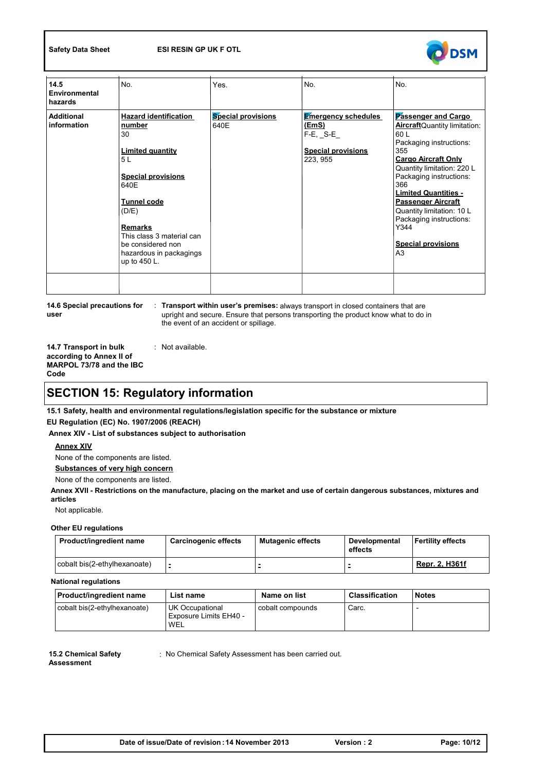

| 14.5<br>Environmental<br>hazards | No.                                                                                                                                                                                                                                                              | Yes.                              | No.                                                                                                  | No.                                                                                                                                                                                                                                                                                                                                                                           |
|----------------------------------|------------------------------------------------------------------------------------------------------------------------------------------------------------------------------------------------------------------------------------------------------------------|-----------------------------------|------------------------------------------------------------------------------------------------------|-------------------------------------------------------------------------------------------------------------------------------------------------------------------------------------------------------------------------------------------------------------------------------------------------------------------------------------------------------------------------------|
| Additional<br>information        | <b>Hazard identification</b><br>number<br>30<br><b>Limited quantity</b><br>5L<br><b>Special provisions</b><br>640E<br><b>Tunnel code</b><br>(D/E)<br><b>Remarks</b><br>This class 3 material can<br>be considered non<br>hazardous in packagings<br>up to 450 L. | <b>Special provisions</b><br>640E | <b>Emergency schedules</b><br><u>(EmS)</u><br>$F-E$ , $S-E$<br><b>Special provisions</b><br>223, 955 | Passenger and Cargo<br><b>Aircraft</b> Quantity limitation:<br>60L<br>Packaging instructions:<br>355<br><b>Cargo Aircraft Only</b><br>Quantity limitation: 220 L<br>Packaging instructions:<br>366<br><b>Limited Quantities -</b><br><b>Passenger Aircraft</b><br>Quantity limitation: 10 L<br>Packaging instructions:<br>Y344<br><b>Special provisions</b><br>A <sub>3</sub> |
|                                  |                                                                                                                                                                                                                                                                  |                                   |                                                                                                      |                                                                                                                                                                                                                                                                                                                                                                               |

**14.6 Special precautions for user**

: **Transport within user's premises:** always transport in closed containers that are upright and secure. Ensure that persons transporting the product know what to do in the event of an accident or spillage.

**14.7 Transport in bulk according to Annex II of MARPOL 73/78 and the IBC Code** : Not available.

## **SECTION 15: Regulatory information**

**15.1 Safety, health and environmental regulations/legislation specific for the substance or mixture EU Regulation (EC) No. 1907/2006 (REACH)**

**Annex XIV - List of substances subject to authorisation**

#### **Annex XIV**

None of the components are listed.

**Substances of very high concern**

None of the components are listed.

**Annex XVII - Restrictions on the manufacture, placing on the market and use of certain dangerous substances, mixtures and articles**

Not applicable.

#### **Other EU regulations**

| Product/ingredient name      | <b>Carcinogenic effects</b> | Mutagenic effects | Developmental<br>effects | <b>IFertility effects</b> |
|------------------------------|-----------------------------|-------------------|--------------------------|---------------------------|
| cobalt bis(2-ethylhexanoate) |                             |                   |                          | Repr. 2, H361f            |

**National regulations**

| <b>Product/ingredient name</b> | List name                                               | Name on list     | <b>Classification</b> | <b>Notes</b> |
|--------------------------------|---------------------------------------------------------|------------------|-----------------------|--------------|
| cobalt bis(2-ethylhexanoate)   | <b>UK Occupational</b><br>Exposure Limits EH40 -<br>WEL | cobalt compounds | Carc.                 |              |

**15.2 Chemical Safety Assessment**

: No Chemical Safety Assessment has been carried out.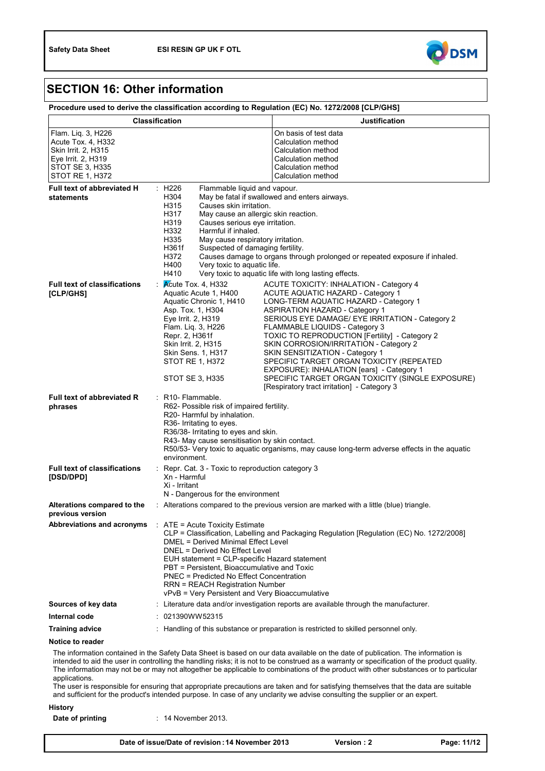

## **SECTION 16: Other information**

| Procedure used to derive the classification according to Regulation (EC) No. 1272/2008 [CLP/GHS] |  |
|--------------------------------------------------------------------------------------------------|--|
|                                                                                                  |  |

| <b>Classification</b>                                                                                                              |                                                                                                                                                                                                                                                                                                                                                                                                                   | <b>Justification</b>                                                                                                                                                                                                                                                                                                                                                                                                                                                                                                                                                                  |
|------------------------------------------------------------------------------------------------------------------------------------|-------------------------------------------------------------------------------------------------------------------------------------------------------------------------------------------------------------------------------------------------------------------------------------------------------------------------------------------------------------------------------------------------------------------|---------------------------------------------------------------------------------------------------------------------------------------------------------------------------------------------------------------------------------------------------------------------------------------------------------------------------------------------------------------------------------------------------------------------------------------------------------------------------------------------------------------------------------------------------------------------------------------|
| Flam. Liq. 3, H226<br>Acute Tox. 4, H332<br>Skin Irrit. 2, H315<br>Eye Irrit. 2, H319<br><b>STOT SE 3, H335</b><br>STOT RE 1, H372 |                                                                                                                                                                                                                                                                                                                                                                                                                   | On basis of test data<br>Calculation method<br>Calculation method<br>Calculation method<br>Calculation method<br>Calculation method                                                                                                                                                                                                                                                                                                                                                                                                                                                   |
| <b>Full text of abbreviated H</b><br>statements                                                                                    | : H226<br>Flammable liquid and vapour.<br>H304<br>H315<br>Causes skin irritation.<br>H317<br>May cause an allergic skin reaction.<br>H319<br>Causes serious eye irritation.<br>H332<br>Harmful if inhaled.<br>H335<br>May cause respiratory irritation.<br>Suspected of damaging fertility.<br>H361f<br>H372<br>H400<br>Very toxic to aquatic life.<br>H410                                                       | May be fatal if swallowed and enters airways.<br>Causes damage to organs through prolonged or repeated exposure if inhaled.<br>Very toxic to aquatic life with long lasting effects.                                                                                                                                                                                                                                                                                                                                                                                                  |
| <b>Full text of classifications</b><br>[CLP/GHS]                                                                                   | Acute Tox. 4, H332<br>Aquatic Acute 1, H400<br>Aquatic Chronic 1, H410<br>Asp. Tox. 1, H304<br>Eye Irrit. 2, H319<br>Flam. Liq. 3, H226<br>Repr. 2, H361f<br>Skin Irrit. 2, H315<br>Skin Sens. 1, H317<br>STOT RE 1, H372<br>STOT SE 3, H335                                                                                                                                                                      | ACUTE TOXICITY: INHALATION - Category 4<br><b>ACUTE AQUATIC HAZARD - Category 1</b><br>LONG-TERM AQUATIC HAZARD - Category 1<br><b>ASPIRATION HAZARD - Category 1</b><br>SERIOUS EYE DAMAGE/ EYE IRRITATION - Category 2<br>FLAMMABLE LIQUIDS - Category 3<br>TOXIC TO REPRODUCTION [Fertility] - Category 2<br>SKIN CORROSION/IRRITATION - Category 2<br>SKIN SENSITIZATION - Category 1<br>SPECIFIC TARGET ORGAN TOXICITY (REPEATED<br>EXPOSURE): INHALATION [ears] - Category 1<br>SPECIFIC TARGET ORGAN TOXICITY (SINGLE EXPOSURE)<br>[Respiratory tract irritation] - Category 3 |
| Full text of abbreviated R<br>phrases                                                                                              | : R10- Flammable.<br>R62- Possible risk of impaired fertility.<br>R20- Harmful by inhalation.<br>R36- Irritating to eyes.<br>R36/38- Irritating to eyes and skin.<br>R43- May cause sensitisation by skin contact.<br>R50/53- Very toxic to aquatic organisms, may cause long-term adverse effects in the aquatic<br>environment.                                                                                 |                                                                                                                                                                                                                                                                                                                                                                                                                                                                                                                                                                                       |
| <b>Full text of classifications</b><br>[DSD/DPD]                                                                                   | $\therefore$ Repr. Cat. 3 - Toxic to reproduction category 3<br>Xn - Harmful<br>Xi - Irritant<br>N - Dangerous for the environment                                                                                                                                                                                                                                                                                |                                                                                                                                                                                                                                                                                                                                                                                                                                                                                                                                                                                       |
| Alterations compared to the<br>previous version                                                                                    | : Alterations compared to the previous version are marked with a little (blue) triangle.                                                                                                                                                                                                                                                                                                                          |                                                                                                                                                                                                                                                                                                                                                                                                                                                                                                                                                                                       |
| Abbreviations and acronyms : ATE = Acute Toxicity Estimate                                                                         | CLP = Classification, Labelling and Packaging Regulation [Regulation (EC) No. 1272/2008]<br>DMEL = Derived Minimal Effect Level<br>DNEL = Derived No Effect Level<br>EUH statement = CLP-specific Hazard statement<br>PBT = Persistent, Bioaccumulative and Toxic<br><b>PNEC = Predicted No Effect Concentration</b><br><b>RRN = REACH Registration Number</b><br>vPvB = Very Persistent and Very Bioaccumulative |                                                                                                                                                                                                                                                                                                                                                                                                                                                                                                                                                                                       |
| Sources of key data                                                                                                                | : Literature data and/or investigation reports are available through the manufacturer.                                                                                                                                                                                                                                                                                                                            |                                                                                                                                                                                                                                                                                                                                                                                                                                                                                                                                                                                       |
| Internal code                                                                                                                      | : 021390WW52315                                                                                                                                                                                                                                                                                                                                                                                                   |                                                                                                                                                                                                                                                                                                                                                                                                                                                                                                                                                                                       |
| <b>Training advice</b>                                                                                                             | : Handling of this substance or preparation is restricted to skilled personnel only.                                                                                                                                                                                                                                                                                                                              |                                                                                                                                                                                                                                                                                                                                                                                                                                                                                                                                                                                       |
| Notice to reader                                                                                                                   |                                                                                                                                                                                                                                                                                                                                                                                                                   |                                                                                                                                                                                                                                                                                                                                                                                                                                                                                                                                                                                       |

The information contained in the Safety Data Sheet is based on our data available on the date of publication. The information is intended to aid the user in controlling the handling risks; it is not to be construed as a warranty or specification of the product quality. The information may not be or may not altogether be applicable to combinations of the product with other substances or to particular applications.

The user is responsible for ensuring that appropriate precautions are taken and for satisfying themselves that the data are suitable and sufficient for the product's intended purpose. In case of any unclarity we advise consulting the supplier or an expert.

**History**

14 November 2013. **Date of printing** :